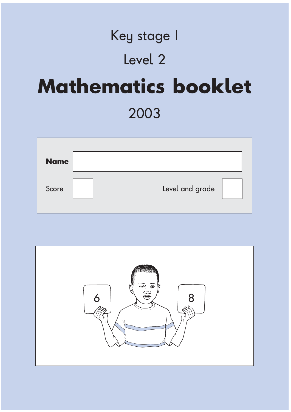## Key stage 1 Level 2 **Mathematics booklet** 2003

| <b>Name</b> |                 |  |
|-------------|-----------------|--|
| Score       | Level and grade |  |

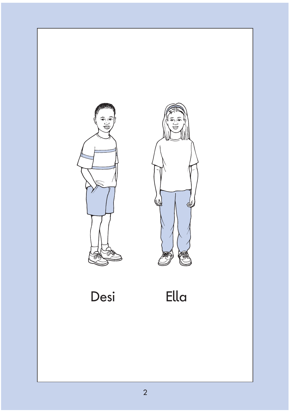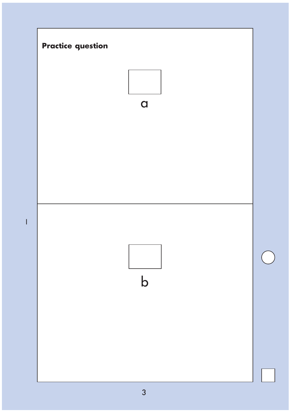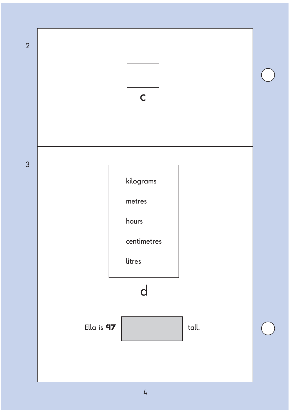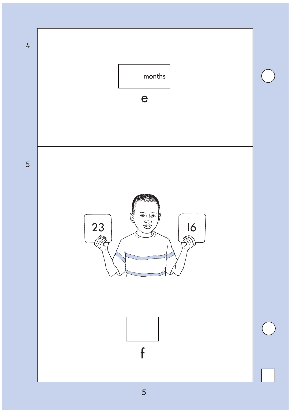

 $\overline{5}$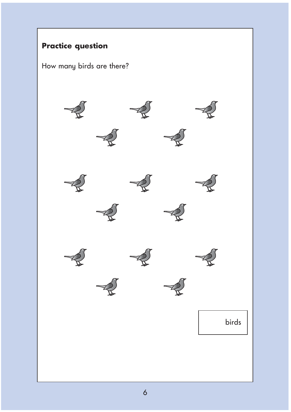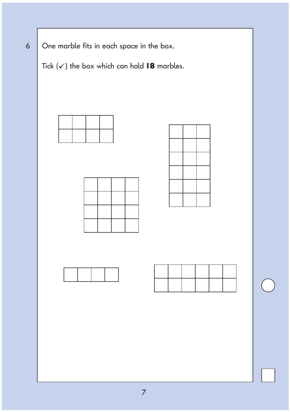6 One marble fits in each space in the box.

Tick  $(\checkmark)$  the box which can hold **18** marbles.







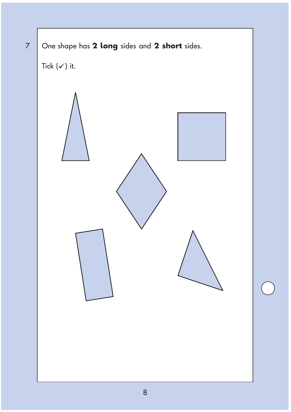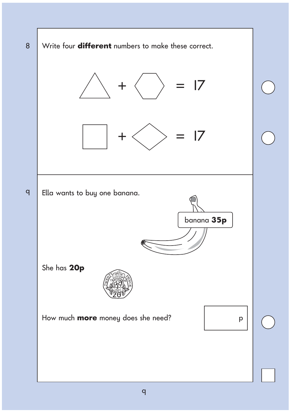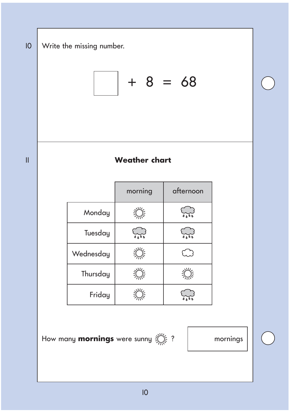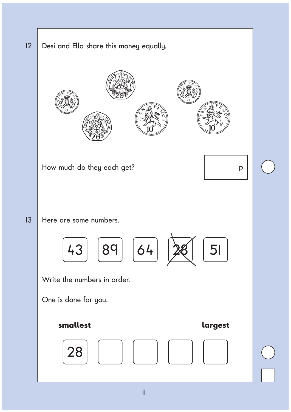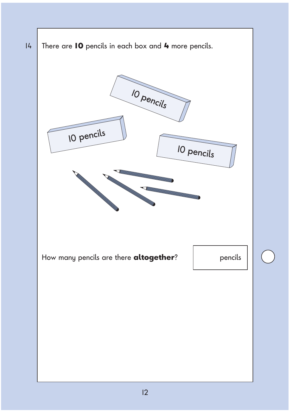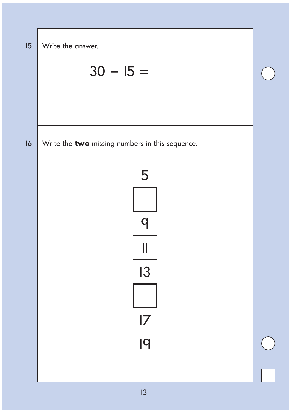| 15 | Write the answer.                               |  |
|----|-------------------------------------------------|--|
|    | $30 - 15 =$                                     |  |
|    |                                                 |  |
|    |                                                 |  |
| 16 | Write the two missing numbers in this sequence. |  |
|    | 5                                               |  |
|    |                                                 |  |
|    | $\mathbf\Omega$                                 |  |
|    | Ш                                               |  |
|    | 13                                              |  |
|    |                                                 |  |
|    | 7                                               |  |
|    | 19                                              |  |
|    |                                                 |  |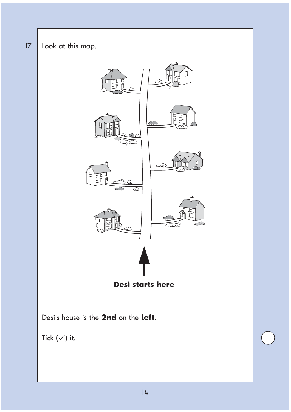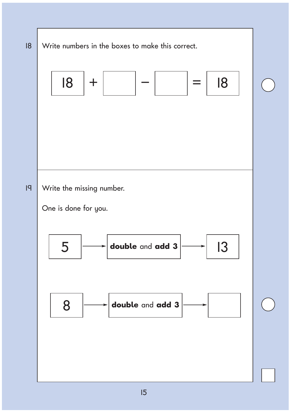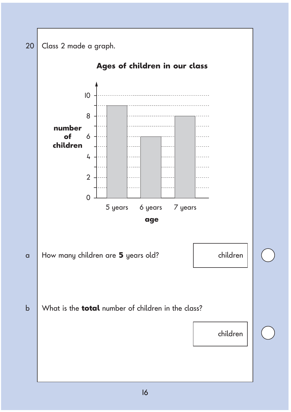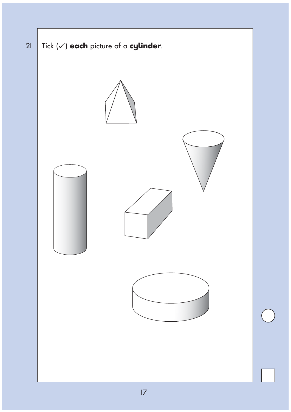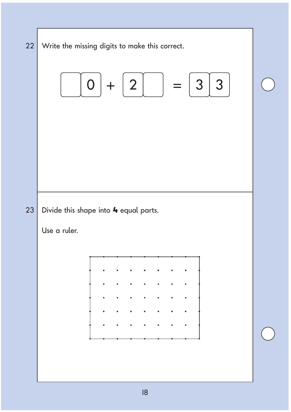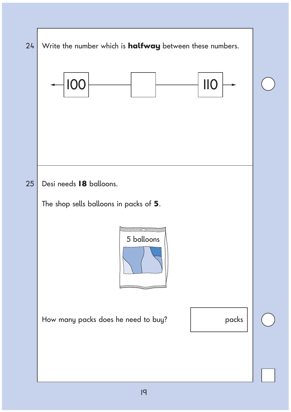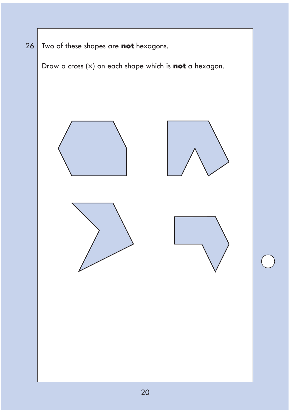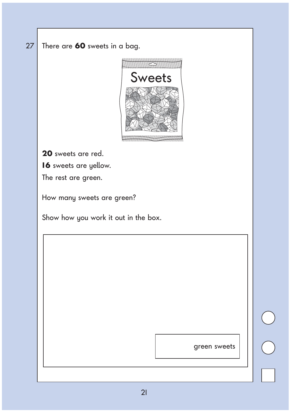## 27 There are **60** sweets in a bag.



**20** sweets are red.

**16** sweets are yellow.

The rest are green.

How many sweets are green?

Show how you work it out in the box.

green sweets

 $\begin{matrix} 0 \\ 0 \end{matrix}$